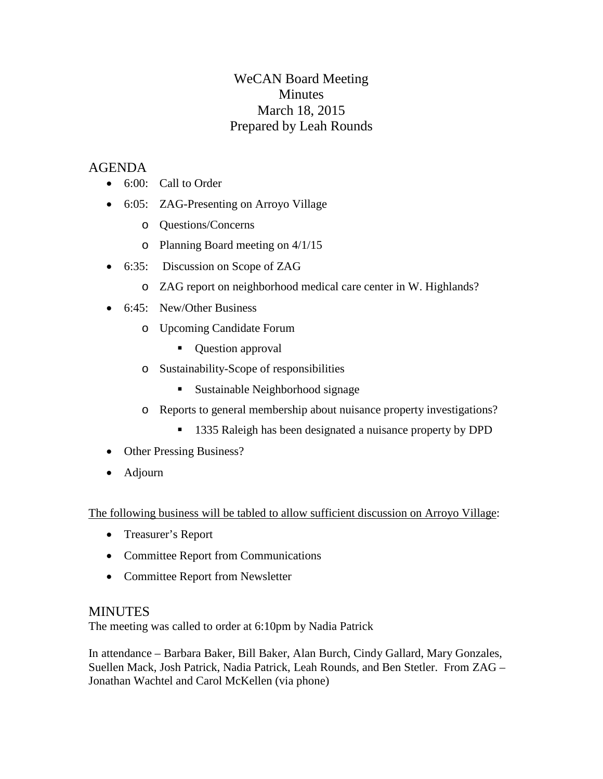# WeCAN Board Meeting **Minutes** March 18, 2015 Prepared by Leah Rounds

## AGENDA

- 6:00: Call to Order
- 6:05: ZAG-Presenting on Arroyo Village
	- o Questions/Concerns
	- o Planning Board meeting on 4/1/15
- 6:35: Discussion on Scope of ZAG
	- o ZAG report on neighborhood medical care center in W. Highlands?
- 6:45: New/Other Business
	- o Upcoming Candidate Forum
		- Question approval
	- o Sustainability-Scope of responsibilities
		- Sustainable Neighborhood signage
	- o Reports to general membership about nuisance property investigations?
		- 1335 Raleigh has been designated a nuisance property by DPD
- Other Pressing Business?
- Adjourn

The following business will be tabled to allow sufficient discussion on Arroyo Village:

- Treasurer's Report
- Committee Report from Communications
- Committee Report from Newsletter

#### MINUTES

The meeting was called to order at 6:10pm by Nadia Patrick

In attendance – Barbara Baker, Bill Baker, Alan Burch, Cindy Gallard, Mary Gonzales, Suellen Mack, Josh Patrick, Nadia Patrick, Leah Rounds, and Ben Stetler. From ZAG – Jonathan Wachtel and Carol McKellen (via phone)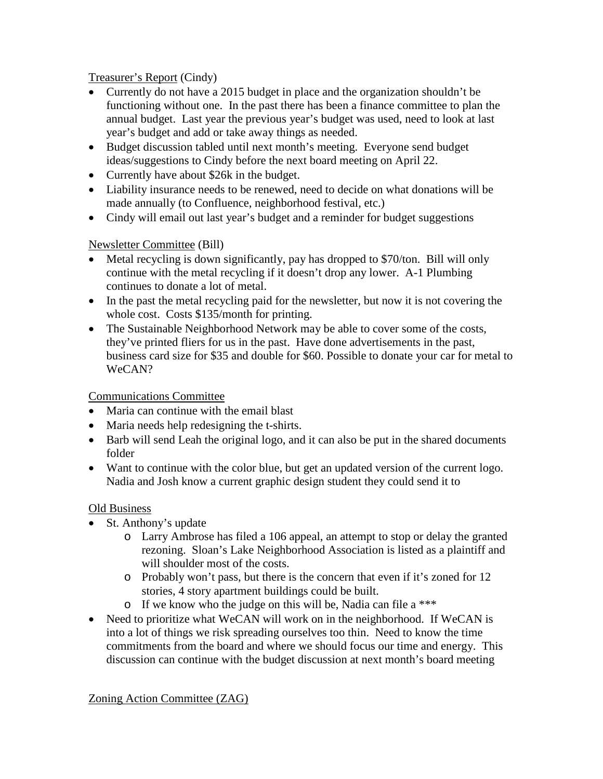Treasurer's Report (Cindy)

- Currently do not have a 2015 budget in place and the organization shouldn't be functioning without one. In the past there has been a finance committee to plan the annual budget. Last year the previous year's budget was used, need to look at last year's budget and add or take away things as needed.
- Budget discussion tabled until next month's meeting. Everyone send budget ideas/suggestions to Cindy before the next board meeting on April 22.
- Currently have about \$26k in the budget.
- Liability insurance needs to be renewed, need to decide on what donations will be made annually (to Confluence, neighborhood festival, etc.)
- Cindy will email out last year's budget and a reminder for budget suggestions

### Newsletter Committee (Bill)

- Metal recycling is down significantly, pay has dropped to \$70/ton. Bill will only continue with the metal recycling if it doesn't drop any lower. A-1 Plumbing continues to donate a lot of metal.
- In the past the metal recycling paid for the newsletter, but now it is not covering the whole cost. Costs \$135/month for printing.
- The Sustainable Neighborhood Network may be able to cover some of the costs, they've printed fliers for us in the past. Have done advertisements in the past, business card size for \$35 and double for \$60. Possible to donate your car for metal to WeCAN?

#### Communications Committee

- Maria can continue with the email blast
- Maria needs help redesigning the t-shirts.
- Barb will send Leah the original logo, and it can also be put in the shared documents folder
- Want to continue with the color blue, but get an updated version of the current logo. Nadia and Josh know a current graphic design student they could send it to

#### Old Business

- St. Anthony's update
	- o Larry Ambrose has filed a 106 appeal, an attempt to stop or delay the granted rezoning. Sloan's Lake Neighborhood Association is listed as a plaintiff and will shoulder most of the costs.
	- o Probably won't pass, but there is the concern that even if it's zoned for 12 stories, 4 story apartment buildings could be built.
	- o If we know who the judge on this will be, Nadia can file a \*\*\*
- Need to prioritize what WeCAN will work on in the neighborhood. If WeCAN is into a lot of things we risk spreading ourselves too thin. Need to know the time commitments from the board and where we should focus our time and energy. This discussion can continue with the budget discussion at next month's board meeting

Zoning Action Committee (ZAG)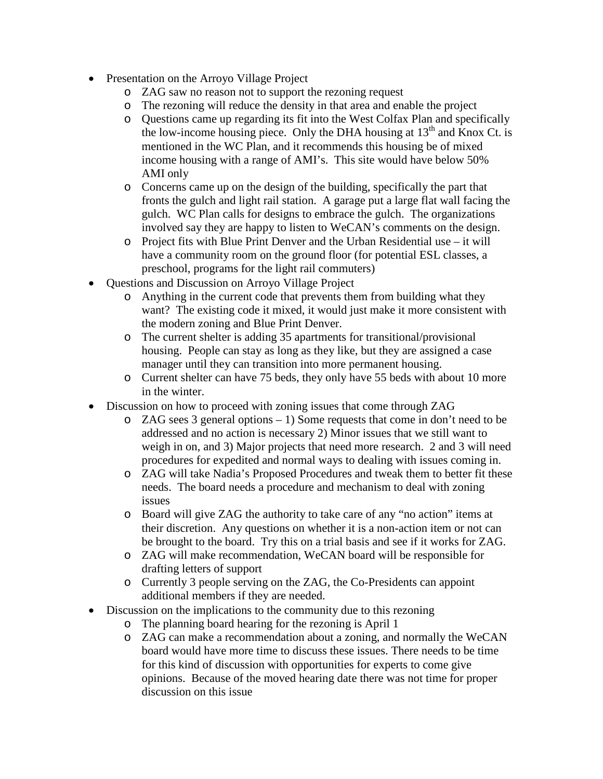- Presentation on the Arroyo Village Project
	- o ZAG saw no reason not to support the rezoning request
	- o The rezoning will reduce the density in that area and enable the project
	- o Questions came up regarding its fit into the West Colfax Plan and specifically the low-income housing piece. Only the DHA housing at  $13<sup>th</sup>$  and Knox Ct. is mentioned in the WC Plan, and it recommends this housing be of mixed income housing with a range of AMI's. This site would have below 50% AMI only
	- o Concerns came up on the design of the building, specifically the part that fronts the gulch and light rail station. A garage put a large flat wall facing the gulch. WC Plan calls for designs to embrace the gulch. The organizations involved say they are happy to listen to WeCAN's comments on the design.
	- o Project fits with Blue Print Denver and the Urban Residential use it will have a community room on the ground floor (for potential ESL classes, a preschool, programs for the light rail commuters)
- Questions and Discussion on Arroyo Village Project
	- o Anything in the current code that prevents them from building what they want? The existing code it mixed, it would just make it more consistent with the modern zoning and Blue Print Denver.
	- o The current shelter is adding 35 apartments for transitional/provisional housing. People can stay as long as they like, but they are assigned a case manager until they can transition into more permanent housing.
	- o Current shelter can have 75 beds, they only have 55 beds with about 10 more in the winter.
- Discussion on how to proceed with zoning issues that come through ZAG
	- o ZAG sees 3 general options 1) Some requests that come in don't need to be addressed and no action is necessary 2) Minor issues that we still want to weigh in on, and 3) Major projects that need more research. 2 and 3 will need procedures for expedited and normal ways to dealing with issues coming in.
	- o ZAG will take Nadia's Proposed Procedures and tweak them to better fit these needs. The board needs a procedure and mechanism to deal with zoning issues
	- o Board will give ZAG the authority to take care of any "no action" items at their discretion. Any questions on whether it is a non-action item or not can be brought to the board. Try this on a trial basis and see if it works for ZAG.
	- o ZAG will make recommendation, WeCAN board will be responsible for drafting letters of support
	- o Currently 3 people serving on the ZAG, the Co-Presidents can appoint additional members if they are needed.
- Discussion on the implications to the community due to this rezoning
	- o The planning board hearing for the rezoning is April 1
	- o ZAG can make a recommendation about a zoning, and normally the WeCAN board would have more time to discuss these issues. There needs to be time for this kind of discussion with opportunities for experts to come give opinions. Because of the moved hearing date there was not time for proper discussion on this issue